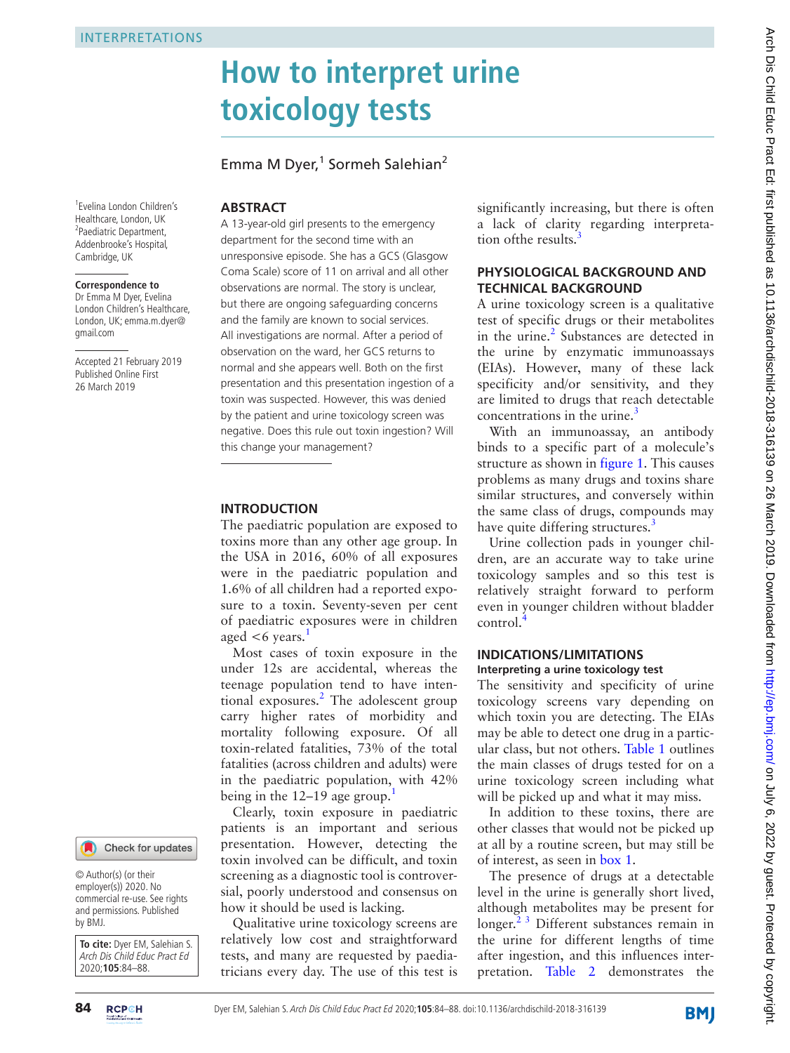1 Evelina London Children's Healthcare, London, UK <sup>2</sup>Paediatric Department, Addenbrooke's Hospital, Cambridge, UK

**Correspondence to** Dr Emma M Dyer, Evelina London Children's Healthcare, London, UK; emma.m.dyer@

Accepted 21 February 2019 Published Online First 26 March 2019

gmail.com

# **How to interpret urine toxicology tests**

## Emma M Dyer, $1$  Sormeh Salehian<sup>2</sup>

## **Abstract**

A 13-year-old girl presents to the emergency department for the second time with an unresponsive episode. She has a GCS (Glasgow Coma Scale) score of 11 on arrival and all other observations are normal. The story is unclear, but there are ongoing safeguarding concerns and the family are known to social services. All investigations are normal. After a period of observation on the ward, her GCS returns to normal and she appears well. Both on the first presentation and this presentation ingestion of a toxin was suspected. However, this was denied by the patient and urine toxicology screen was negative. Does this rule out toxin ingestion? Will this change your management?

## **Introduction**

The paediatric population are exposed to toxins more than any other age group. In the USA in 2016, 60% of all exposures were in the paediatric population and 1.6% of all children had a reported exposure to a toxin. Seventy-seven per cent of paediatric exposures were in children aged  $<6$  years.

Most cases of toxin exposure in the under 12s are accidental, whereas the teenage population tend to have intentional exposures. $^{2}$  The adolescent group carry higher rates of morbidity and mortality following exposure. Of all toxin-related fatalities, 73% of the total fatalities (across children and adults) were in the paediatric population, with 42% being in the  $12-19$  age group.

Clearly, toxin exposure in paediatric patients is an important and serious presentation. However, detecting the toxin involved can be difficult, and toxin screening as a diagnostic tool is controversial, poorly understood and consensus on how it should be used is lacking.

Qualitative urine toxicology screens are relatively low cost and straightforward tests, and many are requested by paediatricians every day. The use of this test is significantly increasing, but there is often a lack of clarity regarding interpreta-tion of the results.<sup>[3](#page-4-2)</sup>

## **Physiological background and technical background**

A urine toxicology screen is a qualitative test of specific drugs or their metabolites in the urine.<sup>2</sup> Substances are detected in the urine by enzymatic immunoassays (EIAs). However, many of these lack specificity and/or sensitivity, and they are limited to drugs that reach detectable concentrations in the urine. $\frac{3}{2}$  $\frac{3}{2}$  $\frac{3}{2}$ 

With an immunoassay, an antibody binds to a specific part of a molecule's structure as shown in [figure](#page-1-0) 1. This causes problems as many drugs and toxins share similar structures, and conversely within the same class of drugs, compounds may have quite differing structures.<sup>3</sup>

Urine collection pads in younger children, are an accurate way to take urine toxicology samples and so this test is relatively straight forward to perform even in younger children without bladder control.[4](#page-4-3)

### **Indications/limitations Interpreting a urine toxicology test**

The sensitivity and specificity of urine toxicology screens vary depending on which toxin you are detecting. The EIAs may be able to detect one drug in a particular class, but not others. [Table](#page-2-0) 1 outlines the main classes of drugs tested for on a urine toxicology screen including what will be picked up and what it may miss.

In addition to these toxins, there are other classes that would not be picked up at all by a routine screen, but may still be of interest, as seen in [box](#page-2-0) 1.

The presence of drugs at a detectable level in the urine is generally short lived, although metabolites may be present for longer.<sup>2 3</sup> Different substances remain in the urine for different lengths of time after ingestion, and this influences interpretation. [Table](#page-3-0) 2 demonstrates the

© Author(s) (or their employer(s)) 2020. No commercial re-use. See rights and permissions. Published by BMJ.

**To cite:** Dyer EM, Salehian S. Arch Dis Child Educ Pract Ed 2020;**105**:84–88.



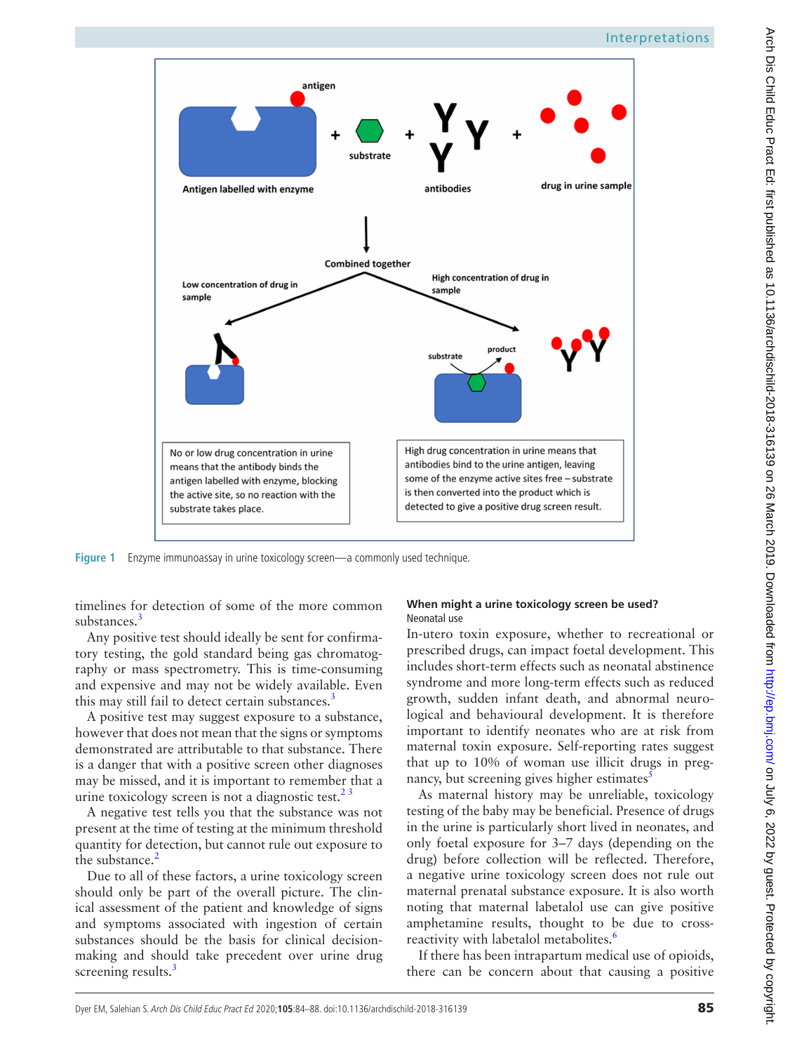

<span id="page-1-0"></span>**Figure 1** Enzyme immunoassay in urine toxicology screen—a commonly used technique.

timelines for detection of some of the more common substances.<sup>[3](#page-4-2)</sup>

Any positive test should ideally be sent for confirmatory testing, the gold standard being gas chromatography or mass spectrometry. This is time-consuming and expensive and may not be widely available. Even this may still fail to detect certain substances.<sup>3</sup>

A positive test may suggest exposure to a substance, however that does not mean that the signs or symptoms demonstrated are attributable to that substance. There is a danger that with a positive screen other diagnoses may be missed, and it is important to remember that a urine toxicology screen is not a diagnostic test.<sup>23</sup>

A negative test tells you that the substance was not present at the time of testing at the minimum threshold quantity for detection, but cannot rule out exposure to the substance. $<sup>2</sup>$ </sup>

Due to all of these factors, a urine toxicology screen should only be part of the overall picture. The clinical assessment of the patient and knowledge of signs and symptoms associated with ingestion of certain substances should be the basis for clinical decisionmaking and should take precedent over urine drug screening results.<sup>[3](#page-4-2)</sup>

## **When might a urine toxicology screen be used?** Neonatal use

In-utero toxin exposure, whether to recreational or prescribed drugs, can impact foetal development. This includes short-term effects such as neonatal abstinence syndrome and more long-term effects such as reduced growth, sudden infant death, and abnormal neurological and behavioural development. It is therefore important to identify neonates who are at risk from maternal toxin exposure. Self-reporting rates suggest that up to 10% of woman use illicit drugs in pregnancy, but screening gives higher estimates<sup>3</sup>

As maternal history may be unreliable, toxicology testing of the baby may be beneficial. Presence of drugs in the urine is particularly short lived in neonates, and only foetal exposure for 3–7 days (depending on the drug) before collection will be reflected. Therefore, a negative urine toxicology screen does not rule out maternal prenatal substance exposure. It is also worth noting that maternal labetalol use can give positive amphetamine results, thought to be due to cross-reactivity with labetalol metabolites.<sup>[6](#page-4-5)</sup>

If there has been intrapartum medical use of opioids, there can be concern about that causing a positive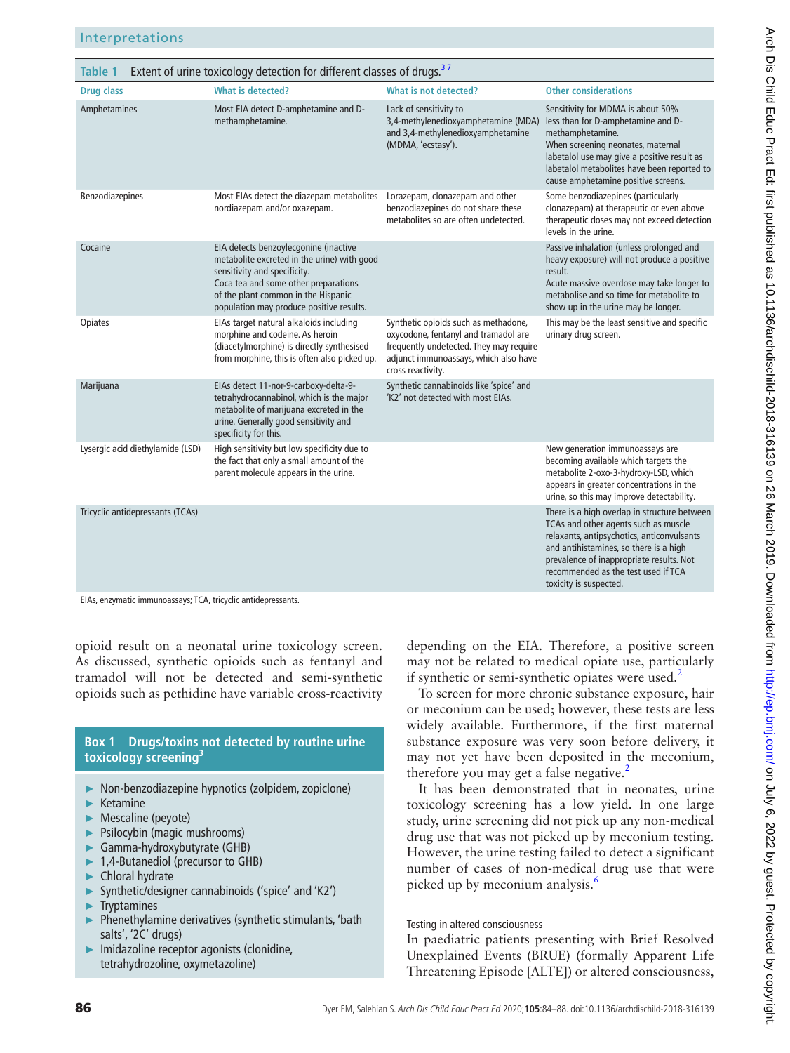<span id="page-2-0"></span>

| <b>Table 1</b>                   | Extent of urine toxicology detection for different classes of drugs. <sup>37</sup>                                                                                                                                                              |                                                                                                                                                                                       |                                                                                                                                                                                                                                                                                           |
|----------------------------------|-------------------------------------------------------------------------------------------------------------------------------------------------------------------------------------------------------------------------------------------------|---------------------------------------------------------------------------------------------------------------------------------------------------------------------------------------|-------------------------------------------------------------------------------------------------------------------------------------------------------------------------------------------------------------------------------------------------------------------------------------------|
| <b>Drug class</b>                | What is detected?                                                                                                                                                                                                                               | What is not detected?                                                                                                                                                                 | <b>Other considerations</b>                                                                                                                                                                                                                                                               |
| Amphetamines                     | Most EIA detect D-amphetamine and D-<br>methamphetamine.                                                                                                                                                                                        | Lack of sensitivity to<br>3,4-methylenedioxyamphetamine (MDA)<br>and 3,4-methylenedioxyamphetamine<br>(MDMA, 'ecstasy').                                                              | Sensitivity for MDMA is about 50%<br>less than for D-amphetamine and D-<br>methamphetamine.<br>When screening neonates, maternal<br>labetalol use may give a positive result as<br>labetalol metabolites have been reported to<br>cause amphetamine positive screens.                     |
| Benzodiazepines                  | Most EIAs detect the diazepam metabolites<br>nordiazepam and/or oxazepam.                                                                                                                                                                       | Lorazepam, clonazepam and other<br>benzodiazepines do not share these<br>metabolites so are often undetected.                                                                         | Some benzodiazepines (particularly<br>clonazepam) at therapeutic or even above<br>therapeutic doses may not exceed detection<br>levels in the urine.                                                                                                                                      |
| Cocaine                          | EIA detects benzoylecgonine (inactive<br>metabolite excreted in the urine) with good<br>sensitivity and specificity.<br>Coca tea and some other preparations<br>of the plant common in the Hispanic<br>population may produce positive results. |                                                                                                                                                                                       | Passive inhalation (unless prolonged and<br>heavy exposure) will not produce a positive<br>result.<br>Acute massive overdose may take longer to<br>metabolise and so time for metabolite to<br>show up in the urine may be longer.                                                        |
| Opiates                          | EIAs target natural alkaloids including<br>morphine and codeine. As heroin<br>(diacetylmorphine) is directly synthesised<br>from morphine, this is often also picked up.                                                                        | Synthetic opioids such as methadone,<br>oxycodone, fentanyl and tramadol are<br>frequently undetected. They may require<br>adjunct immunoassays, which also have<br>cross reactivity. | This may be the least sensitive and specific<br>urinary drug screen.                                                                                                                                                                                                                      |
| Marijuana                        | EIAs detect 11-nor-9-carboxy-delta-9-<br>tetrahydrocannabinol, which is the major<br>metabolite of marijuana excreted in the<br>urine. Generally good sensitivity and<br>specificity for this.                                                  | Synthetic cannabinoids like 'spice' and<br>'K2' not detected with most EIAs.                                                                                                          |                                                                                                                                                                                                                                                                                           |
| Lysergic acid diethylamide (LSD) | High sensitivity but low specificity due to<br>the fact that only a small amount of the<br>parent molecule appears in the urine.                                                                                                                |                                                                                                                                                                                       | New generation immunoassays are<br>becoming available which targets the<br>metabolite 2-oxo-3-hydroxy-LSD, which<br>appears in greater concentrations in the<br>urine, so this may improve detectability.                                                                                 |
| Tricyclic antidepressants (TCAs) |                                                                                                                                                                                                                                                 |                                                                                                                                                                                       | There is a high overlap in structure between<br>TCAs and other agents such as muscle<br>relaxants, antipsychotics, anticonvulsants<br>and antihistamines, so there is a high<br>prevalence of inappropriate results. Not<br>recommended as the test used if TCA<br>toxicity is suspected. |

EIAs, enzymatic immunoassays; TCA, tricyclic antidepressants.

opioid result on a neonatal urine toxicology screen. As discussed, synthetic opioids such as fentanyl and tramadol will not be detected and semi-synthetic opioids such as pethidine have variable cross-reactivity

## **Box 1 Drugs/toxins not detected by routine urine toxicology screenin[g3](#page-4-2)**

- ► Non-benzodiazepine hypnotics (zolpidem, zopiclone)
- ► Ketamine
- Mescaline (peyote)
- Psilocybin (magic mushrooms)
- Gamma-hydroxybutyrate (GHB)
- 1,4-Butanediol (precursor to GHB)
- ► Chloral hydrate
- ► Synthetic/designer cannabinoids ('spice' and 'K2')
- **Tryptamines**
- Phenethylamine derivatives (synthetic stimulants, 'bath salts', '2C' drugs)
- Imidazoline receptor agonists (clonidine, tetrahydrozoline, oxymetazoline)

depending on the EIA. Therefore, a positive screen may not be related to medical opiate use, particularly if synthetic or semi-synthetic opiates were used.<sup>[2](#page-4-1)</sup>

To screen for more chronic substance exposure, hair or meconium can be used; however, these tests are less widely available. Furthermore, if the first maternal substance exposure was very soon before delivery, it may not yet have been deposited in the meconium, therefore you may get a false negative.<sup>2</sup>

It has been demonstrated that in neonates, urine toxicology screening has a low yield. In one large study, urine screening did not pick up any non-medical drug use that was not picked up by meconium testing. However, the urine testing failed to detect a significant number of cases of non-medical drug use that were picked up by meconium analysis.<sup>[6](#page-4-5)</sup>

## Testing in altered consciousness

In paediatric patients presenting with Brief Resolved Unexplained Events (BRUE) (formally Apparent Life Threatening Episode [ALTE]) or altered consciousness,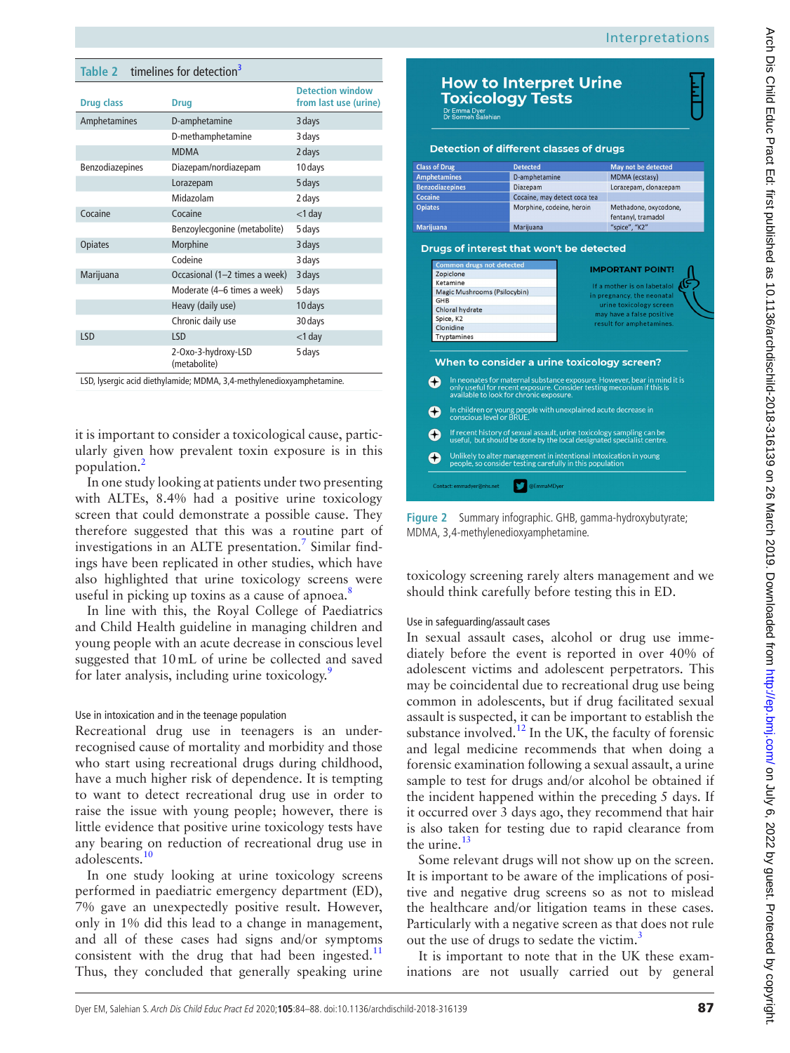Interpretations

<span id="page-3-0"></span>

| Table 2 timelines for detection <sup>3</sup> |                                     |                                                  |
|----------------------------------------------|-------------------------------------|--------------------------------------------------|
| Drug class                                   | <b>Drug</b>                         | <b>Detection window</b><br>from last use (urine) |
| Amphetamines                                 | D-amphetamine                       | 3 days                                           |
|                                              | D-methamphetamine                   | 3 days                                           |
|                                              | <b>MDMA</b>                         | 2 days                                           |
| Benzodiazepines                              | Diazepam/nordiazepam                | 10 days                                          |
|                                              | Lorazepam                           | 5 days                                           |
|                                              | Midazolam                           | 2 days                                           |
| Cocaine                                      | Cocaine                             | $<$ 1 day                                        |
|                                              | Benzoylecgonine (metabolite)        | 5 days                                           |
| <b>Opiates</b>                               | Morphine                            | 3 days                                           |
|                                              | Codeine                             | 3 days                                           |
| Marijuana                                    | Occasional (1-2 times a week)       | 3 days                                           |
|                                              | Moderate (4–6 times a week)         | 5 days                                           |
|                                              | Heavy (daily use)                   | 10 days                                          |
|                                              | Chronic daily use                   | 30 days                                          |
| <b>LSD</b>                                   | LSD                                 | $<$ 1 day                                        |
|                                              | 2-Oxo-3-hydroxy-LSD<br>(metabolite) | 5 days                                           |

LSD, lysergic acid diethylamide; MDMA, 3,4-methylenedioxyamphetamine.

it is important to consider a toxicological cause, particularly given how prevalent toxin exposure is in this population.[2](#page-4-1)

In one study looking at patients under two presenting with ALTEs, 8.4% had a positive urine toxicology screen that could demonstrate a possible cause. They therefore suggested that this was a routine part of investigations in an ALTE presentation.<sup>[7](#page-4-6)</sup> Similar findings have been replicated in other studies, which have also highlighted that urine toxicology screens were useful in picking up toxins as a cause of apnoea.<sup>8</sup>

In line with this, the Royal College of Paediatrics and Child Health guideline in managing children and young people with an acute decrease in conscious level suggested that 10mL of urine be collected and saved for later analysis, including urine toxicology.<sup>9</sup>

#### Use in intoxication and in the teenage population

Recreational drug use in teenagers is an underrecognised cause of mortality and morbidity and those who start using recreational drugs during childhood, have a much higher risk of dependence. It is tempting to want to detect recreational drug use in order to raise the issue with young people; however, there is little evidence that positive urine toxicology tests have any bearing on reduction of recreational drug use in adolescents[.10](#page-4-9)

In one study looking at urine toxicology screens performed in paediatric emergency department (ED), 7% gave an unexpectedly positive result. However, only in 1% did this lead to a change in management, and all of these cases had signs and/or symptoms consistent with the drug that had been ingested. $11$ Thus, they concluded that generally speaking urine

|                        | <b>Detection of different classes of drugs</b>                                                                                                                                               |                                                       |
|------------------------|----------------------------------------------------------------------------------------------------------------------------------------------------------------------------------------------|-------------------------------------------------------|
| <b>Class of Drug</b>   | <b>Detected</b>                                                                                                                                                                              | May not be detected                                   |
| <b>Amphetamines</b>    | D-amphetamine                                                                                                                                                                                | <b>MDMA</b> (ecstasy)                                 |
| <b>Benzodiazepines</b> | Diazepam                                                                                                                                                                                     | Lorazepam, clonazepam                                 |
| Cocaine                | Cocaine, may detect coca tea                                                                                                                                                                 |                                                       |
| <b>Opiates</b>         | Morphine, codeine, heroin                                                                                                                                                                    | Methadone, oxycodone,<br>fentanyl, tramadol           |
| <b>Marijuana</b>       | Marijuana                                                                                                                                                                                    | "spice", "K2"                                         |
| Spice, K2              |                                                                                                                                                                                              | may have a false positive<br>result for amphetamines. |
| Clonidine              |                                                                                                                                                                                              |                                                       |
| Tryptamines            |                                                                                                                                                                                              |                                                       |
|                        | When to consider a urine toxicology screen?                                                                                                                                                  |                                                       |
| $\bigoplus$            | In neonates for maternal substance exposure. However, bear in mind it is<br>only useful for recent exposure. Consider testing meconium if this is<br>available to look for chronic exposure. |                                                       |
| $\left( +\right)$      | In children or young people with unexplained acute decrease in<br>conscious level or BRUE.                                                                                                   |                                                       |
| $\left( +\right)$      | If recent history of sexual assault, urine toxicology sampling can be<br>useful, but should be done by the local designated specialist centre.                                               |                                                       |

<span id="page-3-1"></span>**Figure 2** Summary infographic. GHB, gamma-hydroxybutyrate; MDMA, 3,4-methylenedioxyamphetamine.

toxicology screening rarely alters management and we should think carefully before testing this in ED.

#### Use in safeguarding/assault cases

In sexual assault cases, alcohol or drug use immediately before the event is reported in over 40% of adolescent victims and adolescent perpetrators. This may be coincidental due to recreational drug use being common in adolescents, but if drug facilitated sexual assault is suspected, it can be important to establish the substance involved.<sup>12</sup> In the UK, the faculty of forensic and legal medicine recommends that when doing a forensic examination following a sexual assault, a urine sample to test for drugs and/or alcohol be obtained if the incident happened within the preceding 5 days. If it occurred over 3 days ago, they recommend that hair is also taken for testing due to rapid clearance from the urine. $13$ 

Some relevant drugs will not show up on the screen. It is important to be aware of the implications of positive and negative drug screens so as not to mislead the healthcare and/or litigation teams in these cases. Particularly with a negative screen as that does not rule out the use of drugs to sedate the victim.<sup>3</sup>

It is important to note that in the UK these examinations are not usually carried out by general